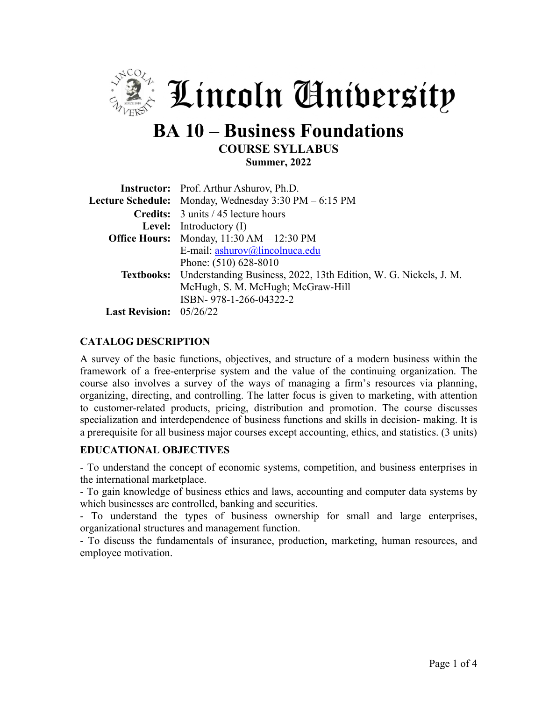

# **BA 10 – Business Foundations COURSE SYLLABUS Summer, 2022**

|                                                                    | <b>Instructor:</b> Prof. Arthur Ashurov, Ph.D.                              |  |  |  |  |
|--------------------------------------------------------------------|-----------------------------------------------------------------------------|--|--|--|--|
|                                                                    | Lecture Schedule: Monday, Wednesday 3:30 PM - 6:15 PM                       |  |  |  |  |
|                                                                    | Credits: 3 units / 45 lecture hours                                         |  |  |  |  |
|                                                                    | <b>Level:</b> Introductory $(I)$                                            |  |  |  |  |
| <b>Office Hours:</b> Monday, $11:30 \text{ AM} - 12:30 \text{ PM}$ |                                                                             |  |  |  |  |
|                                                                    | E-mail: ashurov@lincolnuca.edu                                              |  |  |  |  |
|                                                                    | Phone: (510) 628-8010                                                       |  |  |  |  |
|                                                                    | Textbooks: Understanding Business, 2022, 13th Edition, W. G. Nickels, J. M. |  |  |  |  |
|                                                                    | McHugh, S. M. McHugh; McGraw-Hill                                           |  |  |  |  |
|                                                                    | ISBN-978-1-266-04322-2                                                      |  |  |  |  |
| <b>Last Revision:</b> 05/26/22                                     |                                                                             |  |  |  |  |

## **CATALOG DESCRIPTION**

A survey of the basic functions, objectives, and structure of a modern business within the framework of a free-enterprise system and the value of the continuing organization. The course also involves a survey of the ways of managing a firm's resources via planning, organizing, directing, and controlling. The latter focus is given to marketing, with attention to customer-related products, pricing, distribution and promotion. The course discusses specialization and interdependence of business functions and skills in decision- making. It is a prerequisite for all business major courses except accounting, ethics, and statistics. (3 units)

#### **EDUCATIONAL OBJECTIVES**

- To understand the concept of economic systems, competition, and business enterprises in the international marketplace.

- To gain knowledge of business ethics and laws, accounting and computer data systems by which businesses are controlled, banking and securities.

- To understand the types of business ownership for small and large enterprises, organizational structures and management function.

- To discuss the fundamentals of insurance, production, marketing, human resources, and employee motivation.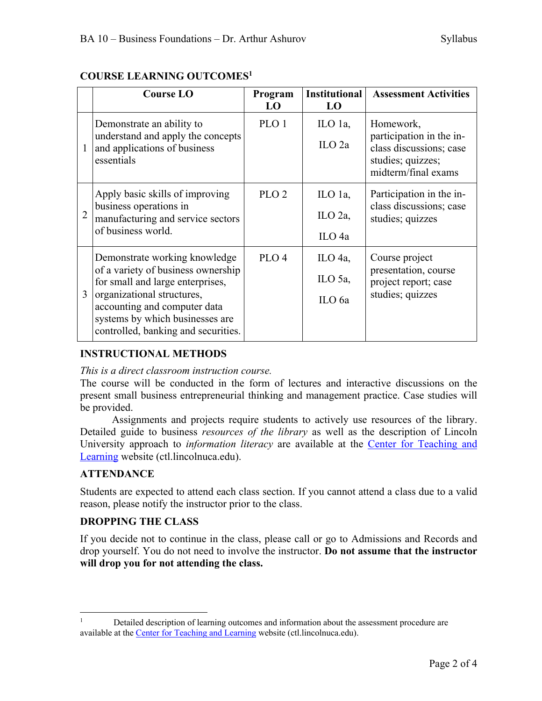|   | <b>Course LO</b>                                                                                                                                                                                                                                | Program<br>LO    | <b>Institutional</b><br>LO              | <b>Assessment Activities</b>                                                                                 |
|---|-------------------------------------------------------------------------------------------------------------------------------------------------------------------------------------------------------------------------------------------------|------------------|-----------------------------------------|--------------------------------------------------------------------------------------------------------------|
|   | Demonstrate an ability to<br>understand and apply the concepts<br>and applications of business<br>essentials                                                                                                                                    | PLO 1            | ILO 1a,<br>$ILO$ 2a                     | Homework,<br>participation in the in-<br>class discussions; case<br>studies; quizzes;<br>midterm/final exams |
|   | Apply basic skills of improving<br>business operations in<br>manufacturing and service sectors<br>of business world.                                                                                                                            | PLO <sub>2</sub> | ILO 1a,<br>ILO 2a,<br>ILO <sub>4a</sub> | Participation in the in-<br>class discussions; case<br>studies; quizzes                                      |
| 3 | Demonstrate working knowledge<br>of a variety of business ownership<br>for small and large enterprises,<br>organizational structures,<br>accounting and computer data<br>systems by which businesses are<br>controlled, banking and securities. | PLO <sub>4</sub> | ILO 4a,<br>ILO 5a,<br>ILO 6a            | Course project<br>presentation, course<br>project report; case<br>studies; quizzes                           |

# **COURSE LEARNING OUTCOMES1**

# **INSTRUCTIONAL METHODS**

#### *This is a direct classroom instruction course.*

The course will be conducted in the form of lectures and interactive discussions on the present small business entrepreneurial thinking and management practice. Case studies will be provided.

Assignments and projects require students to actively use resources of the library. Detailed guide to business *resources of the library* as well as the description of Lincoln University approach to *information literacy* are available at the Center for Teaching and Learning website (ctl.lincolnuca.edu).

## **ATTENDANCE**

Students are expected to attend each class section. If you cannot attend a class due to a valid reason, please notify the instructor prior to the class.

## **DROPPING THE CLASS**

If you decide not to continue in the class, please call or go to Admissions and Records and drop yourself. You do not need to involve the instructor. **Do not assume that the instructor will drop you for not attending the class.**

<sup>&</sup>lt;sup>1</sup> Detailed description of learning outcomes and information about the assessment procedure are available at the Center for Teaching and Learning website (ctl.lincolnuca.edu).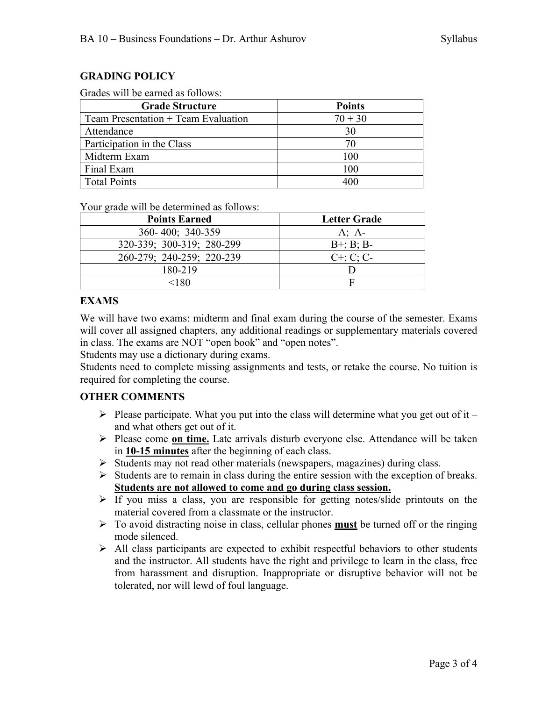## **GRADING POLICY**

| <b>Grade Structure</b>                | <b>Points</b> |
|---------------------------------------|---------------|
| Team Presentation $+$ Team Evaluation | $70 + 30$     |
| Attendance                            | 30            |
| Participation in the Class            | 70            |
| Midterm Exam                          | 100           |
| Final Exam                            | 100           |
| <b>Total Points</b>                   | 400           |

#### Grades will be earned as follows:

Your grade will be determined as follows:

| <b>Points Earned</b>      | <b>Letter Grade</b> |
|---------------------------|---------------------|
| 360-400; 340-359          | A; $A$ -            |
| 320-339; 300-319; 280-299 | $B^{+}$ ; B; B-     |
| 260-279; 240-259; 220-239 | $C^{+}$ ; C; C-     |
| 180-219                   |                     |
| <180                      |                     |

#### **EXAMS**

We will have two exams: midterm and final exam during the course of the semester. Exams will cover all assigned chapters, any additional readings or supplementary materials covered in class. The exams are NOT "open book" and "open notes".

Students may use a dictionary during exams.

Students need to complete missing assignments and tests, or retake the course. No tuition is required for completing the course.

## **OTHER COMMENTS**

- $\triangleright$  Please participate. What you put into the class will determine what you get out of it and what others get out of it.
- Ø Please come **on time.** Late arrivals disturb everyone else. Attendance will be taken in **10-15 minutes** after the beginning of each class.
- Ø Students may not read other materials (newspapers, magazines) during class.
- $\triangleright$  Students are to remain in class during the entire session with the exception of breaks. **Students are not allowed to come and go during class session.**
- $\triangleright$  If you miss a class, you are responsible for getting notes/slide printouts on the material covered from a classmate or the instructor.
- Ø To avoid distracting noise in class, cellular phones **must** be turned off or the ringing mode silenced.
- $\triangleright$  All class participants are expected to exhibit respectful behaviors to other students and the instructor. All students have the right and privilege to learn in the class, free from harassment and disruption. Inappropriate or disruptive behavior will not be tolerated, nor will lewd of foul language.